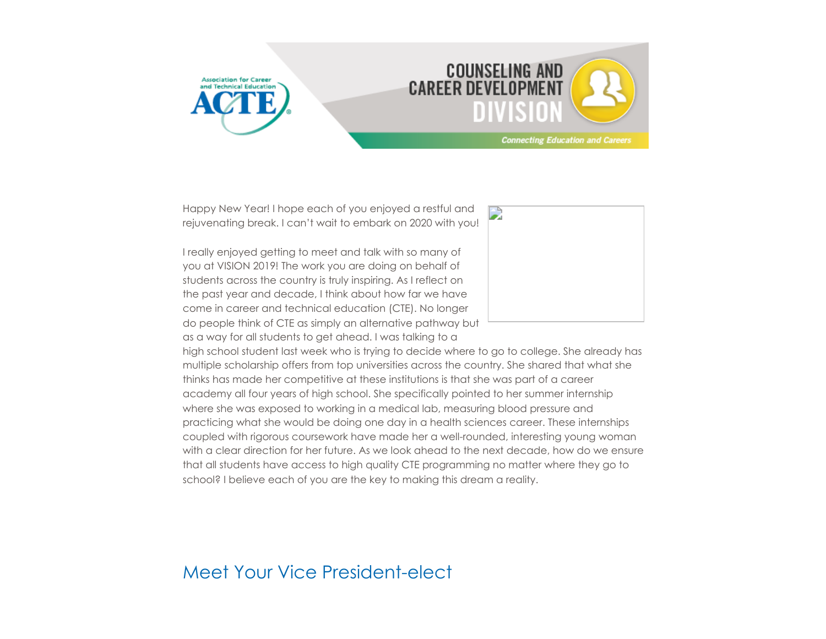



Happy New Year! I hope each of you enjoyed a restful and rejuvenating break. I can't wait to embark on 2020 with you!

I really enjoyed getting to meet and talk with so many of you at VISION 2019! The work you are doing on behalf of students across the country is truly inspiring. As I reflect on the past year and decade, I think about how far we have come in career and technical education (CTE). No longer do people think of CTE as simply an alternative pathway but as a way for all students to get ahead. I was talking to a



high school student last week who is trying to decide where to go to college. She already has multiple scholarship offers from top universities across the country. She shared that what she thinks has made her competitive at these institutions is that she was part of a career academy all four years of high school. She specifically pointed to her summer internship where she was exposed to working in a medical lab, measuring blood pressure and practicing what she would be doing one day in a health sciences career. These internships coupled with rigorous coursework have made her a well-rounded, interesting young woman with a clear direction for her future. As we look ahead to the next decade, how do we ensure that all students have access to high quality CTE programming no matter where they go to school? I believe each of you are the key to making this dream a reality.

#### Meet Your Vice President-elect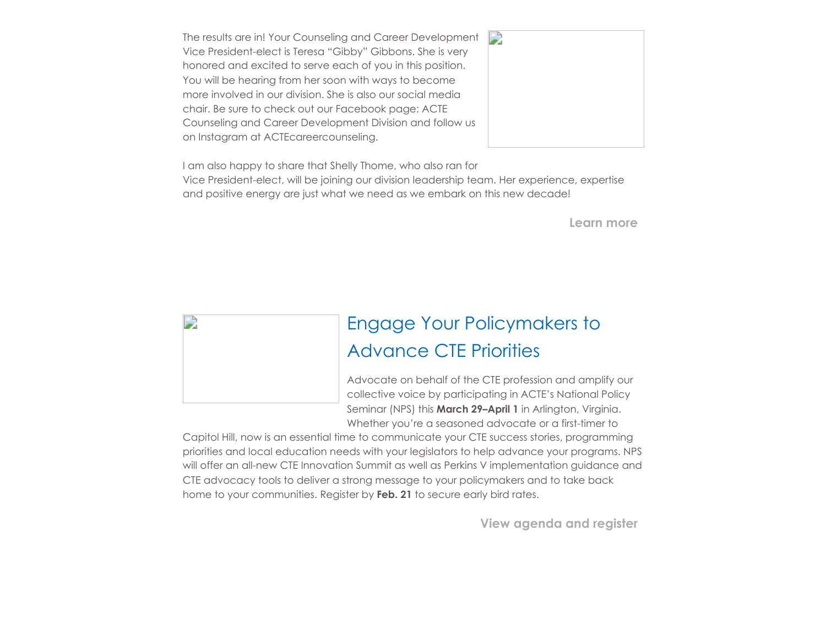The results are in! Your Counseling and Career Development Vice President-elect is Teresa "Gibby" Gibbons. She is very honored and excited to serve each of you in this position. You will be hearing from her soon with ways to become more involved in our division. She is also our social media chair. Be sure to check out our Facebook page: ACTE Counseling and Career Development Division and follow us on Instagram at ACTEcareercounseling.



I am also happy to share that Shelly Thome, who also ran for Vice President-elect, will be joining our division leadership team. Her experience, expertise and positive energy are just what we need as we embark on this new decade!

**Learn more**



## Engage Your Policymakers to Advance CTE Priorities

Advocate on behalf of the CTE profession and amplify our collective voice by participating in ACTE's National Policy Seminar (NPS) this **March 29–April 1** in Arlington, Virginia. Whether you're a seasoned advocate or a first-timer to

Capitol Hill, now is an essential time to communicate your CTE success stories, programming priorities and local education needs with your legislators to help advance your programs. NPS will offer an all-new CTE Innovation Summit as well as Perkins V implementation guidance and CTE advocacy tools to deliver a strong message to your policymakers and to take back home to your communities. Register by **Feb. 21** to secure early bird rates.

**[View agenda and register](https://www.acteonline.org/nps/)**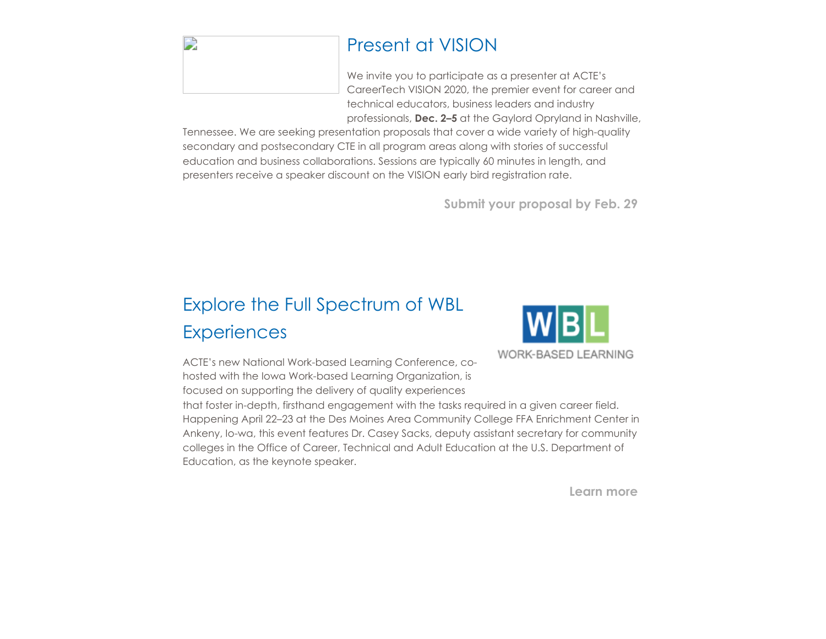#### Present at VISION

We invite you to participate as a presenter at ACTE's CareerTech VISION 2020, the premier event for career and technical educators, business leaders and industry professionals, **Dec. 2–5** at the Gaylord Opryland in Nashville,

Tennessee. We are seeking presentation proposals that cover a wide variety of high-quality secondary and postsecondary CTE in all program areas along with stories of successful education and business collaborations. Sessions are typically 60 minutes in length, and presenters receive a speaker discount on the VISION early bird registration rate.

**[Submit your proposal by Feb. 29](https://www.careertechvision.com/call_for_proposals.cfm)**

# Explore the Full Spectrum of WBL **Experiences**

D



ACTE's new National Work-based Learning Conference, cohosted with the Iowa Work-based Learning Organization, is focused on supporting the delivery of quality experiences

that foster in-depth, firsthand engagement with the tasks required in a given career field. Happening April 22–23 at the Des Moines Area Community College FFA Enrichment Center in Ankeny, Io-wa, this event features Dr. Casey Sacks, deputy assistant secretary for community colleges in the Office of Career, Technical and Adult Education at the U.S. Department of Education, as the keynote speaker.

**[Learn more](https://www.acteonline.org/wbl-conference/)**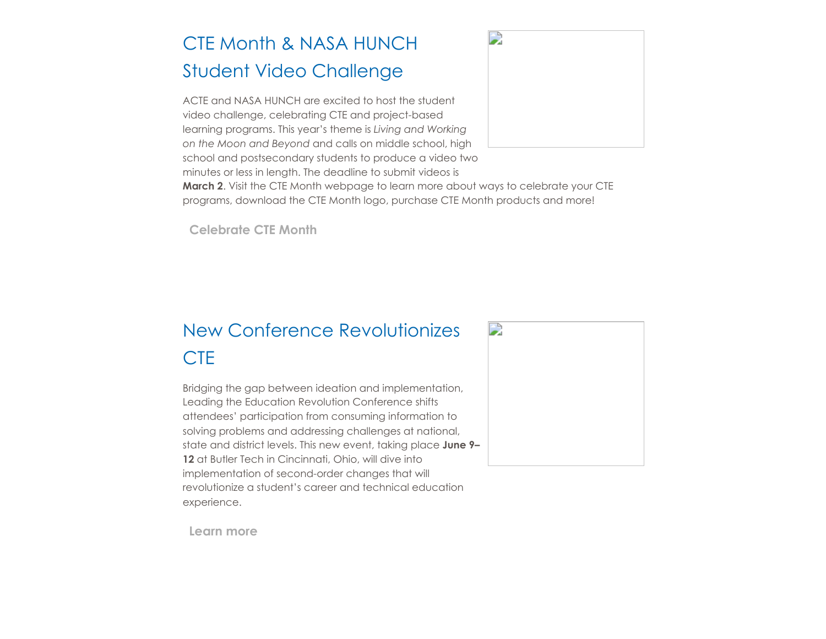# CTE Month & NASA HUNCH Student Video Challenge

ACTE and NASA HUNCH are excited to host the student video challenge, celebrating CTE and project-based learning programs. This year's theme is *Living and Working on the Moon and Beyond* and calls on middle school, high school and postsecondary students to produce a video two minutes or less in length. The deadline to submit videos is



**March 2**. Visit the CTE Month webpage to learn more about ways to celebrate your CTE programs, download the CTE Month logo, purchase CTE Month products and more!

**[Celebrate CTE Month](https://www.acteonline.org/why-cte/cte-awareness/cte-month/cte-month-2020-and-nasa-hunch-video-challenge/)**

### New Conference Revolutionizes **CTE**

Bridging the gap between ideation and implementation, Leading the Education Revolution Conference shifts attendees' participation from consuming information to solving problems and addressing challenges at national, state and district levels. This new event, taking place **June 9– 12** at Butler Tech in Cincinnati, Ohio, will dive into implementation of second-order changes that will revolutionize a student's career and technical education experience.



**[Learn more](https://www.acteonline.org/leading-the-education-revolution-conference/)**